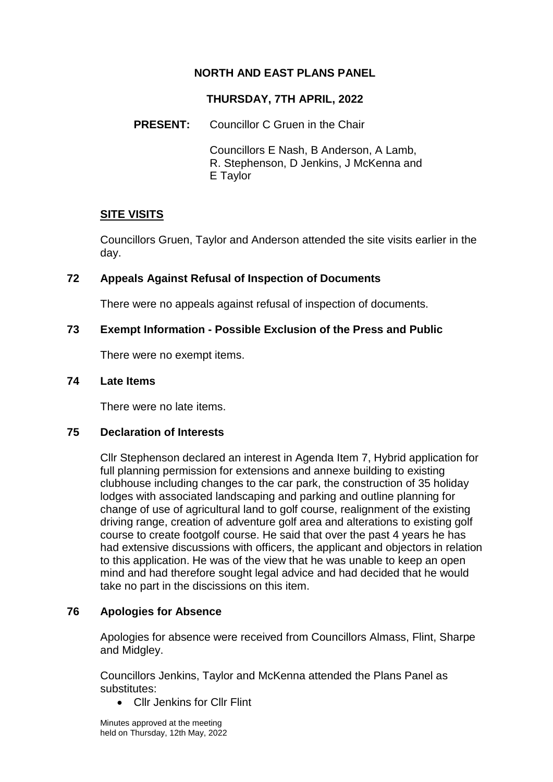# **NORTH AND EAST PLANS PANEL**

## **THURSDAY, 7TH APRIL, 2022**

## **PRESENT:** Councillor C Gruen in the Chair

Councillors E Nash, B Anderson, A Lamb, R. Stephenson, D Jenkins, J McKenna and E Taylor

# **SITE VISITS**

Councillors Gruen, Taylor and Anderson attended the site visits earlier in the day.

### **72 Appeals Against Refusal of Inspection of Documents**

There were no appeals against refusal of inspection of documents.

### **73 Exempt Information - Possible Exclusion of the Press and Public**

There were no exempt items.

#### **74 Late Items**

There were no late items.

#### **75 Declaration of Interests**

Cllr Stephenson declared an interest in Agenda Item 7, Hybrid application for full planning permission for extensions and annexe building to existing clubhouse including changes to the car park, the construction of 35 holiday lodges with associated landscaping and parking and outline planning for change of use of agricultural land to golf course, realignment of the existing driving range, creation of adventure golf area and alterations to existing golf course to create footgolf course. He said that over the past 4 years he has had extensive discussions with officers, the applicant and objectors in relation to this application. He was of the view that he was unable to keep an open mind and had therefore sought legal advice and had decided that he would take no part in the discissions on this item.

# **76 Apologies for Absence**

Apologies for absence were received from Councillors Almass, Flint, Sharpe and Midgley.

Councillors Jenkins, Taylor and McKenna attended the Plans Panel as substitutes:

• Cllr Jenkins for Cllr Flint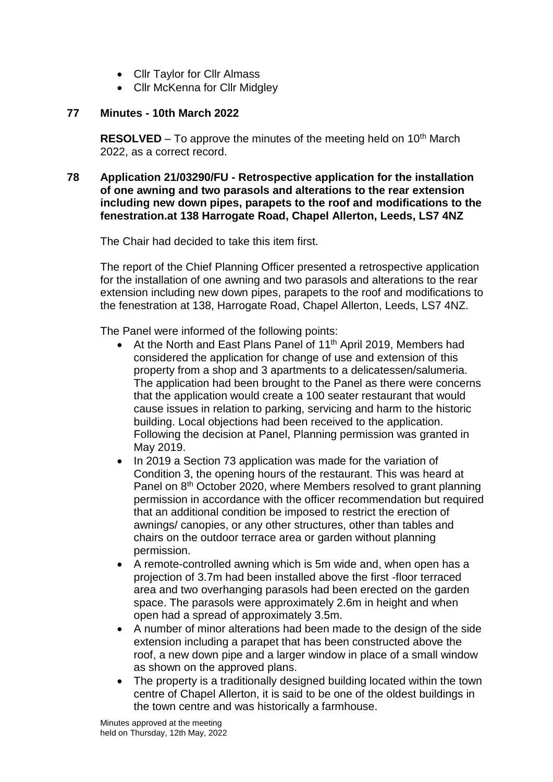- Cllr Taylor for Cllr Almass
- Cllr McKenna for Cllr Midgley

### **77 Minutes - 10th March 2022**

**RESOLVED** – To approve the minutes of the meeting held on 10<sup>th</sup> March 2022, as a correct record.

#### **78 Application 21/03290/FU - Retrospective application for the installation of one awning and two parasols and alterations to the rear extension including new down pipes, parapets to the roof and modifications to the fenestration.at 138 Harrogate Road, Chapel Allerton, Leeds, LS7 4NZ**

The Chair had decided to take this item first.

The report of the Chief Planning Officer presented a retrospective application for the installation of one awning and two parasols and alterations to the rear extension including new down pipes, parapets to the roof and modifications to the fenestration at 138, Harrogate Road, Chapel Allerton, Leeds, LS7 4NZ.

The Panel were informed of the following points:

- At the North and East Plans Panel of 11<sup>th</sup> April 2019, Members had considered the application for change of use and extension of this property from a shop and 3 apartments to a delicatessen/salumeria. The application had been brought to the Panel as there were concerns that the application would create a 100 seater restaurant that would cause issues in relation to parking, servicing and harm to the historic building. Local objections had been received to the application. Following the decision at Panel, Planning permission was granted in May 2019.
- In 2019 a Section 73 application was made for the variation of Condition 3, the opening hours of the restaurant. This was heard at Panel on 8<sup>th</sup> October 2020, where Members resolved to grant planning permission in accordance with the officer recommendation but required that an additional condition be imposed to restrict the erection of awnings/ canopies, or any other structures, other than tables and chairs on the outdoor terrace area or garden without planning permission.
- A remote-controlled awning which is 5m wide and, when open has a projection of 3.7m had been installed above the first -floor terraced area and two overhanging parasols had been erected on the garden space. The parasols were approximately 2.6m in height and when open had a spread of approximately 3.5m.
- A number of minor alterations had been made to the design of the side extension including a parapet that has been constructed above the roof, a new down pipe and a larger window in place of a small window as shown on the approved plans.
- The property is a traditionally designed building located within the town centre of Chapel Allerton, it is said to be one of the oldest buildings in the town centre and was historically a farmhouse.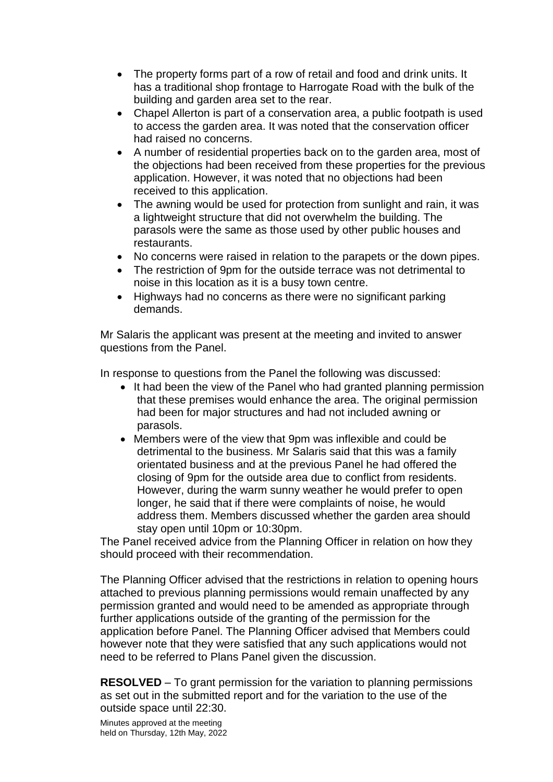- The property forms part of a row of retail and food and drink units. It has a traditional shop frontage to Harrogate Road with the bulk of the building and garden area set to the rear.
- Chapel Allerton is part of a conservation area, a public footpath is used to access the garden area. It was noted that the conservation officer had raised no concerns.
- A number of residential properties back on to the garden area, most of the objections had been received from these properties for the previous application. However, it was noted that no objections had been received to this application.
- The awning would be used for protection from sunlight and rain, it was a lightweight structure that did not overwhelm the building. The parasols were the same as those used by other public houses and restaurants.
- No concerns were raised in relation to the parapets or the down pipes.
- The restriction of 9pm for the outside terrace was not detrimental to noise in this location as it is a busy town centre.
- Highways had no concerns as there were no significant parking demands.

Mr Salaris the applicant was present at the meeting and invited to answer questions from the Panel.

In response to questions from the Panel the following was discussed:

- It had been the view of the Panel who had granted planning permission that these premises would enhance the area. The original permission had been for major structures and had not included awning or parasols.
- Members were of the view that 9pm was inflexible and could be detrimental to the business. Mr Salaris said that this was a family orientated business and at the previous Panel he had offered the closing of 9pm for the outside area due to conflict from residents. However, during the warm sunny weather he would prefer to open longer, he said that if there were complaints of noise, he would address them. Members discussed whether the garden area should stay open until 10pm or 10:30pm.

The Panel received advice from the Planning Officer in relation on how they should proceed with their recommendation.

The Planning Officer advised that the restrictions in relation to opening hours attached to previous planning permissions would remain unaffected by any permission granted and would need to be amended as appropriate through further applications outside of the granting of the permission for the application before Panel. The Planning Officer advised that Members could however note that they were satisfied that any such applications would not need to be referred to Plans Panel given the discussion.

**RESOLVED** – To grant permission for the variation to planning permissions as set out in the submitted report and for the variation to the use of the outside space until 22:30.

Minutes approved at the meeting held on Thursday, 12th May, 2022